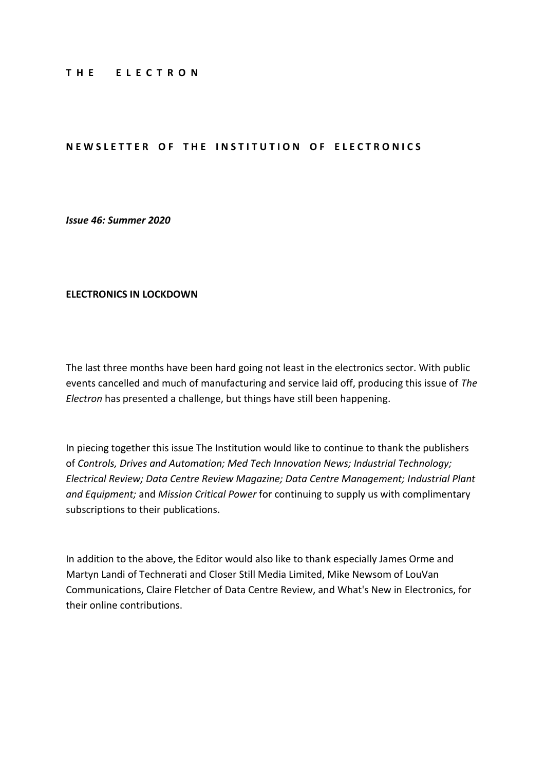#### **T H E E L E C T R O N**

### **NEWSLETTER OF THE INSTITUTION OF ELECTRONICS**

*Issue 46: Summer 2020*

#### **ELECTRONICS IN LOCKDOWN**

The last three months have been hard going not least in the electronics sector. With public events cancelled and much of manufacturing and service laid off, producing this issue of *The Electron* has presented a challenge, but things have still been happening.

In piecing together this issue The Institution would like to continue to thank the publishers of *Controls, Drives and Automation; Med Tech Innovation News; Industrial Technology; Electrical Review; Data Centre Review Magazine; Data Centre Management; Industrial Plant and Equipment;* and *Mission Critical Power* for continuing to supply us with complimentary subscriptions to their publications.

In addition to the above, the Editor would also like to thank especially James Orme and Martyn Landi of Technerati and Closer Still Media Limited, Mike Newsom of LouVan Communications, Claire Fletcher of Data Centre Review, and What's New in Electronics, for their online contributions.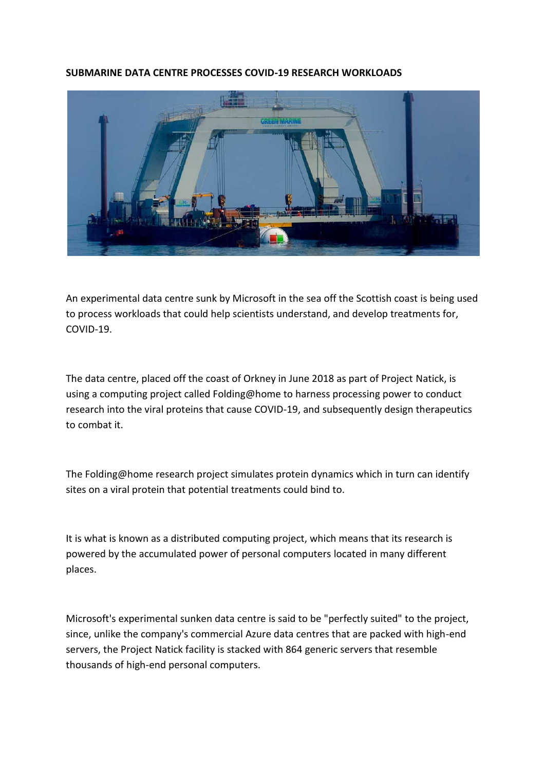### **SUBMARINE DATA CENTRE PROCESSES COVID-19 RESEARCH WORKLOADS**



An experimental data centre sunk by Microsoft in the sea off the Scottish coast is being used to process workloads that could help scientists understand, and develop treatments for, COVID-19.

The data centre, placed off the coast of Orkney in June 2018 as part of Project Natick, is using a computing project called Folding@home to harness processing power to conduct research into the viral proteins that cause COVID-19, and subsequently design therapeutics to combat it.

The Folding@home research project simulates protein dynamics which in turn can identify sites on a viral protein that potential treatments could bind to.

It is what is known as a distributed computing project, which means that its research is powered by the accumulated power of personal computers located in many different places.

Microsoft's experimental sunken data centre is said to be "perfectly suited" to the project, since, unlike the company's commercial Azure data centres that are packed with high-end servers, the Project Natick facility is stacked with 864 generic servers that resemble thousands of high-end personal computers.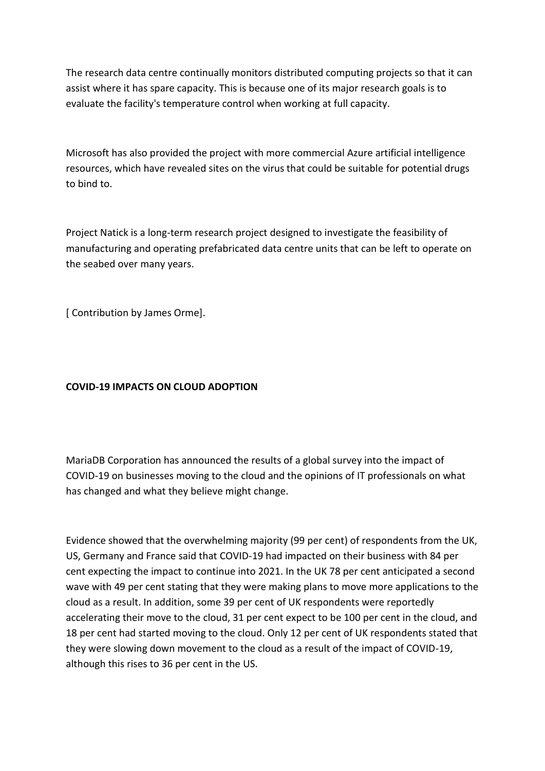The research data centre continually monitors distributed computing projects so that it can assist where it has spare capacity. This is because one of its major research goals is to evaluate the facility's temperature control when working at full capacity.

Microsoft has also provided the project with more commercial Azure artificial intelligence resources, which have revealed sites on the virus that could be suitable for potential drugs to bind to.

Project Natick is a long-term research project designed to investigate the feasibility of manufacturing and operating prefabricated data centre units that can be left to operate on the seabed over many years.

[ Contribution by James Orme].

# **COVID-19 IMPACTS ON CLOUD ADOPTION**

MariaDB Corporation has announced the results of a global survey into the impact of COVID-19 on businesses moving to the cloud and the opinions of IT professionals on what has changed and what they believe might change.

Evidence showed that the overwhelming majority (99 per cent) of respondents from the UK, US, Germany and France said that COVID-19 had impacted on their business with 84 per cent expecting the impact to continue into 2021. In the UK 78 per cent anticipated a second wave with 49 per cent stating that they were making plans to move more applications to the cloud as a result. In addition, some 39 per cent of UK respondents were reportedly accelerating their move to the cloud, 31 per cent expect to be 100 per cent in the cloud, and 18 per cent had started moving to the cloud. Only 12 per cent of UK respondents stated that they were slowing down movement to the cloud as a result of the impact of COVID-19, although this rises to 36 per cent in the US.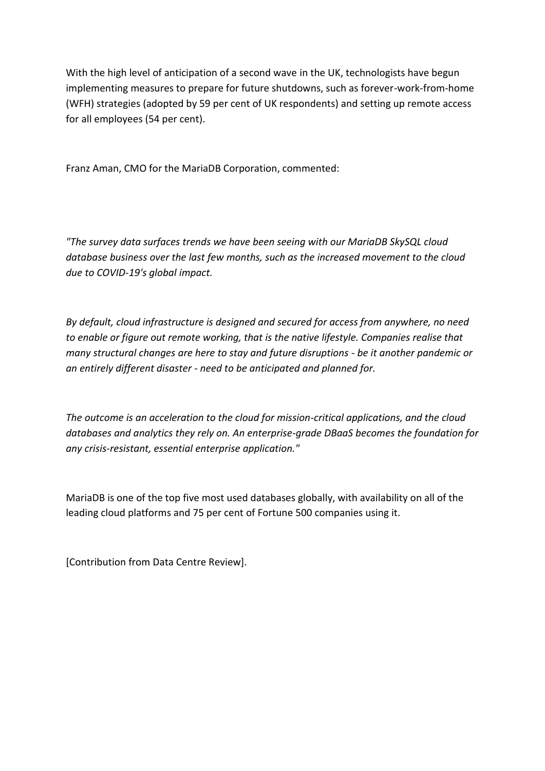With the high level of anticipation of a second wave in the UK, technologists have begun implementing measures to prepare for future shutdowns, such as forever-work-from-home (WFH) strategies (adopted by 59 per cent of UK respondents) and setting up remote access for all employees (54 per cent).

Franz Aman, CMO for the MariaDB Corporation, commented:

*"The survey data surfaces trends we have been seeing with our MariaDB SkySQL cloud database business over the last few months, such as the increased movement to the cloud due to COVID-19's global impact.*

*By default, cloud infrastructure is designed and secured for access from anywhere, no need to enable or figure out remote working, that is the native lifestyle. Companies realise that many structural changes are here to stay and future disruptions - be it another pandemic or an entirely different disaster - need to be anticipated and planned for.*

*The outcome is an acceleration to the cloud for mission-critical applications, and the cloud databases and analytics they rely on. An enterprise-grade DBaaS becomes the foundation for any crisis-resistant, essential enterprise application."*

MariaDB is one of the top five most used databases globally, with availability on all of the leading cloud platforms and 75 per cent of Fortune 500 companies using it.

[Contribution from Data Centre Review].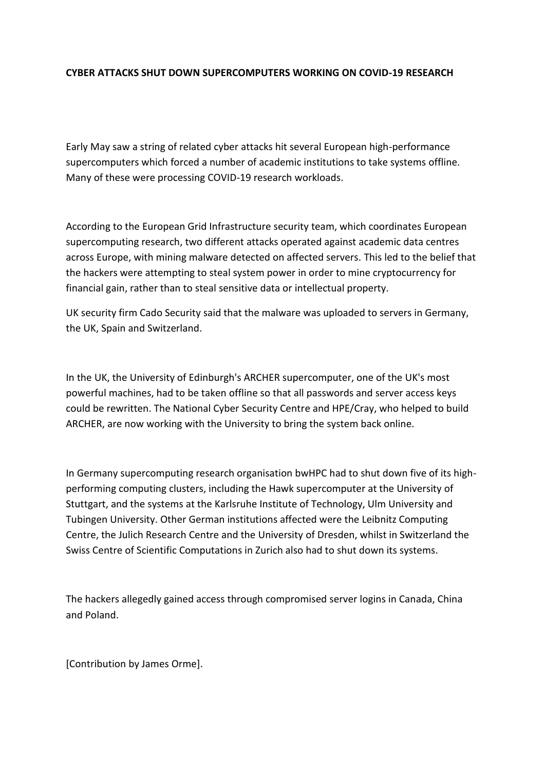## **CYBER ATTACKS SHUT DOWN SUPERCOMPUTERS WORKING ON COVID-19 RESEARCH**

Early May saw a string of related cyber attacks hit several European high-performance supercomputers which forced a number of academic institutions to take systems offline. Many of these were processing COVID-19 research workloads.

According to the European Grid Infrastructure security team, which coordinates European supercomputing research, two different attacks operated against academic data centres across Europe, with mining malware detected on affected servers. This led to the belief that the hackers were attempting to steal system power in order to mine cryptocurrency for financial gain, rather than to steal sensitive data or intellectual property.

UK security firm Cado Security said that the malware was uploaded to servers in Germany, the UK, Spain and Switzerland.

In the UK, the University of Edinburgh's ARCHER supercomputer, one of the UK's most powerful machines, had to be taken offline so that all passwords and server access keys could be rewritten. The National Cyber Security Centre and HPE/Cray, who helped to build ARCHER, are now working with the University to bring the system back online.

In Germany supercomputing research organisation bwHPC had to shut down five of its highperforming computing clusters, including the Hawk supercomputer at the University of Stuttgart, and the systems at the Karlsruhe Institute of Technology, Ulm University and Tubingen University. Other German institutions affected were the Leibnitz Computing Centre, the Julich Research Centre and the University of Dresden, whilst in Switzerland the Swiss Centre of Scientific Computations in Zurich also had to shut down its systems.

The hackers allegedly gained access through compromised server logins in Canada, China and Poland.

[Contribution by James Orme].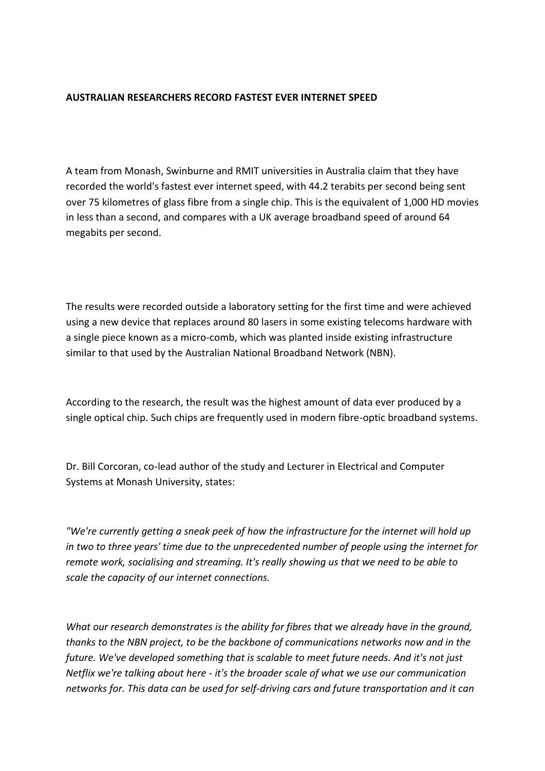### **AUSTRALIAN RESEARCHERS RECORD FASTEST EVER INTERNET SPEED**

A team from Monash, Swinburne and RMIT universities in Australia claim that they have recorded the world's fastest ever internet speed, with 44.2 terabits per second being sent over 75 kilometres of glass fibre from a single chip. This is the equivalent of 1,000 HD movies in less than a second, and compares with a UK average broadband speed of around 64 megabits per second.

The results were recorded outside a laboratory setting for the first time and were achieved using a new device that replaces around 80 lasers in some existing telecoms hardware with a single piece known as a micro-comb, which was planted inside existing infrastructure similar to that used by the Australian National Broadband Network (NBN).

According to the research, the result was the highest amount of data ever produced by a single optical chip. Such chips are frequently used in modern fibre-optic broadband systems.

Dr. Bill Corcoran, co-lead author of the study and Lecturer in Electrical and Computer Systems at Monash University, states:

*"We're currently getting a sneak peek of how the infrastructure for the internet will hold up in two to three years' time due to the unprecedented number of people using the internet for remote work, socialising and streaming. It's really showing us that we need to be able to scale the capacity of our internet connections.*

*What our research demonstrates is the ability for fibres that we already have in the ground, thanks to the NBN project, to be the backbone of communications networks now and in the future. We've developed something that is scalable to meet future needs. And it's not just Netflix we're talking about here - it's the broader scale of what we use our communication networks for. This data can be used for self-driving cars and future transportation and it can*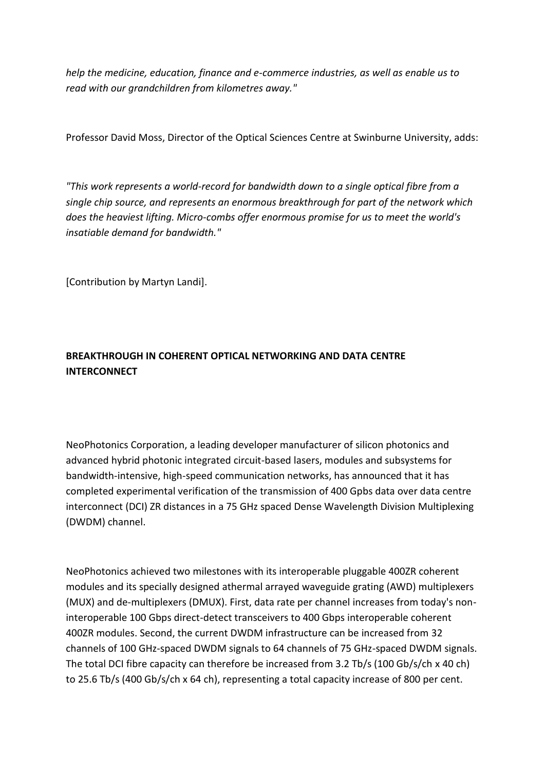*help the medicine, education, finance and e-commerce industries, as well as enable us to read with our grandchildren from kilometres away."*

Professor David Moss, Director of the Optical Sciences Centre at Swinburne University, adds:

*"This work represents a world-record for bandwidth down to a single optical fibre from a single chip source, and represents an enormous breakthrough for part of the network which does the heaviest lifting. Micro-combs offer enormous promise for us to meet the world's insatiable demand for bandwidth."*

[Contribution by Martyn Landi].

# **BREAKTHROUGH IN COHERENT OPTICAL NETWORKING AND DATA CENTRE INTERCONNECT**

NeoPhotonics Corporation, a leading developer manufacturer of silicon photonics and advanced hybrid photonic integrated circuit-based lasers, modules and subsystems for bandwidth-intensive, high-speed communication networks, has announced that it has completed experimental verification of the transmission of 400 Gpbs data over data centre interconnect (DCI) ZR distances in a 75 GHz spaced Dense Wavelength Division Multiplexing (DWDM) channel.

NeoPhotonics achieved two milestones with its interoperable pluggable 400ZR coherent modules and its specially designed athermal arrayed waveguide grating (AWD) multiplexers (MUX) and de-multiplexers (DMUX). First, data rate per channel increases from today's noninteroperable 100 Gbps direct-detect transceivers to 400 Gbps interoperable coherent 400ZR modules. Second, the current DWDM infrastructure can be increased from 32 channels of 100 GHz-spaced DWDM signals to 64 channels of 75 GHz-spaced DWDM signals. The total DCI fibre capacity can therefore be increased from 3.2 Tb/s (100 Gb/s/ch x 40 ch) to 25.6 Tb/s (400 Gb/s/ch x 64 ch), representing a total capacity increase of 800 per cent.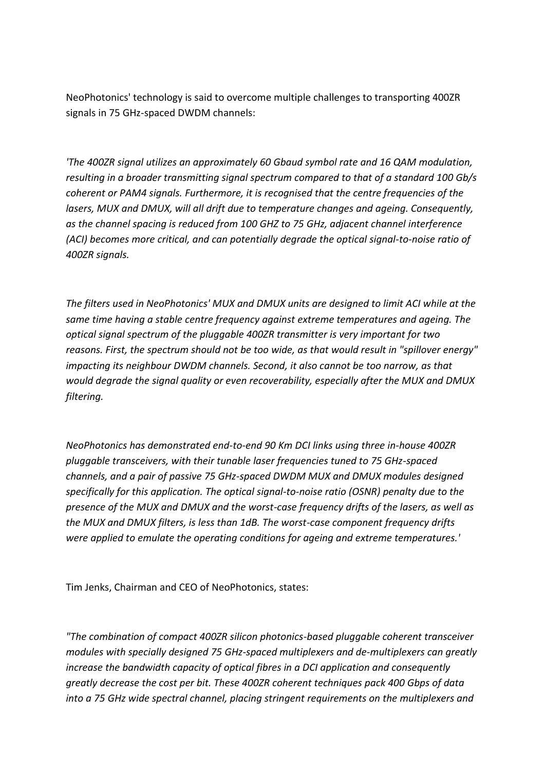NeoPhotonics' technology is said to overcome multiple challenges to transporting 400ZR signals in 75 GHz-spaced DWDM channels:

*'The 400ZR signal utilizes an approximately 60 Gbaud symbol rate and 16 QAM modulation, resulting in a broader transmitting signal spectrum compared to that of a standard 100 Gb/s coherent or PAM4 signals. Furthermore, it is recognised that the centre frequencies of the lasers, MUX and DMUX, will all drift due to temperature changes and ageing. Consequently, as the channel spacing is reduced from 100 GHZ to 75 GHz, adjacent channel interference (ACI) becomes more critical, and can potentially degrade the optical signal-to-noise ratio of 400ZR signals.*

*The filters used in NeoPhotonics' MUX and DMUX units are designed to limit ACI while at the same time having a stable centre frequency against extreme temperatures and ageing. The optical signal spectrum of the pluggable 400ZR transmitter is very important for two reasons. First, the spectrum should not be too wide, as that would result in "spillover energy" impacting its neighbour DWDM channels. Second, it also cannot be too narrow, as that would degrade the signal quality or even recoverability, especially after the MUX and DMUX filtering.*

*NeoPhotonics has demonstrated end-to-end 90 Km DCI links using three in-house 400ZR pluggable transceivers, with their tunable laser frequencies tuned to 75 GHz-spaced channels, and a pair of passive 75 GHz-spaced DWDM MUX and DMUX modules designed specifically for this application. The optical signal-to-noise ratio (OSNR) penalty due to the presence of the MUX and DMUX and the worst-case frequency drifts of the lasers, as well as the MUX and DMUX filters, is less than 1dB. The worst-case component frequency drifts were applied to emulate the operating conditions for ageing and extreme temperatures.'*

Tim Jenks, Chairman and CEO of NeoPhotonics, states:

*"The combination of compact 400ZR silicon photonics-based pluggable coherent transceiver modules with specially designed 75 GHz-spaced multiplexers and de-multiplexers can greatly increase the bandwidth capacity of optical fibres in a DCI application and consequently greatly decrease the cost per bit. These 400ZR coherent techniques pack 400 Gbps of data into a 75 GHz wide spectral channel, placing stringent requirements on the multiplexers and*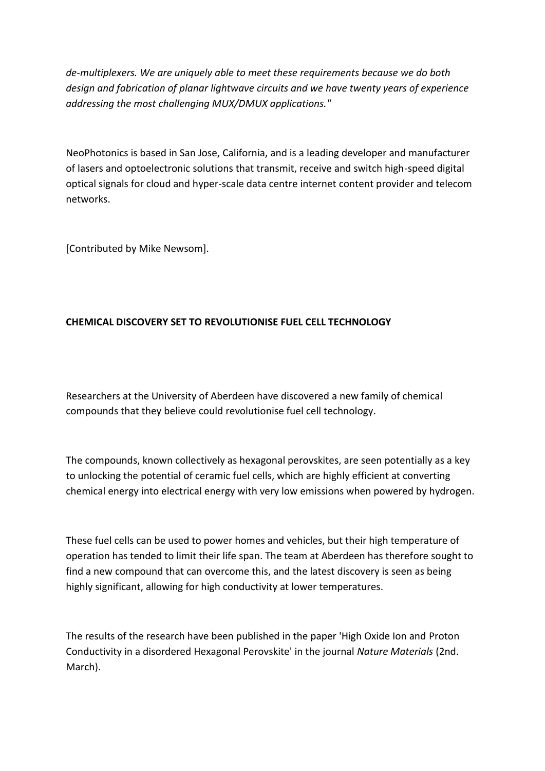*de-multiplexers. We are uniquely able to meet these requirements because we do both design and fabrication of planar lightwave circuits and we have twenty years of experience addressing the most challenging MUX/DMUX applications."*

NeoPhotonics is based in San Jose, California, and is a leading developer and manufacturer of lasers and optoelectronic solutions that transmit, receive and switch high-speed digital optical signals for cloud and hyper-scale data centre internet content provider and telecom networks.

[Contributed by Mike Newsom].

# **CHEMICAL DISCOVERY SET TO REVOLUTIONISE FUEL CELL TECHNOLOGY**

Researchers at the University of Aberdeen have discovered a new family of chemical compounds that they believe could revolutionise fuel cell technology.

The compounds, known collectively as hexagonal perovskites, are seen potentially as a key to unlocking the potential of ceramic fuel cells, which are highly efficient at converting chemical energy into electrical energy with very low emissions when powered by hydrogen.

These fuel cells can be used to power homes and vehicles, but their high temperature of operation has tended to limit their life span. The team at Aberdeen has therefore sought to find a new compound that can overcome this, and the latest discovery is seen as being highly significant, allowing for high conductivity at lower temperatures.

The results of the research have been published in the paper 'High Oxide Ion and Proton Conductivity in a disordered Hexagonal Perovskite' in the journal *Nature Materials* (2nd. March).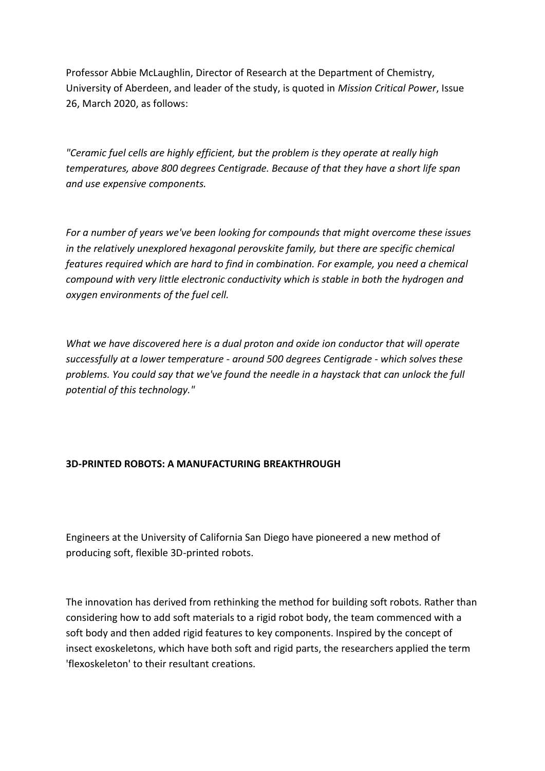Professor Abbie McLaughlin, Director of Research at the Department of Chemistry, University of Aberdeen, and leader of the study, is quoted in *Mission Critical Power*, Issue 26, March 2020, as follows:

*"Ceramic fuel cells are highly efficient, but the problem is they operate at really high temperatures, above 800 degrees Centigrade. Because of that they have a short life span and use expensive components.*

*For a number of years we've been looking for compounds that might overcome these issues in the relatively unexplored hexagonal perovskite family, but there are specific chemical features required which are hard to find in combination. For example, you need a chemical compound with very little electronic conductivity which is stable in both the hydrogen and oxygen environments of the fuel cell.*

*What we have discovered here is a dual proton and oxide ion conductor that will operate successfully at a lower temperature - around 500 degrees Centigrade - which solves these problems. You could say that we've found the needle in a haystack that can unlock the full potential of this technology."*

## **3D-PRINTED ROBOTS: A MANUFACTURING BREAKTHROUGH**

Engineers at the University of California San Diego have pioneered a new method of producing soft, flexible 3D-printed robots.

The innovation has derived from rethinking the method for building soft robots. Rather than considering how to add soft materials to a rigid robot body, the team commenced with a soft body and then added rigid features to key components. Inspired by the concept of insect exoskeletons, which have both soft and rigid parts, the researchers applied the term 'flexoskeleton' to their resultant creations.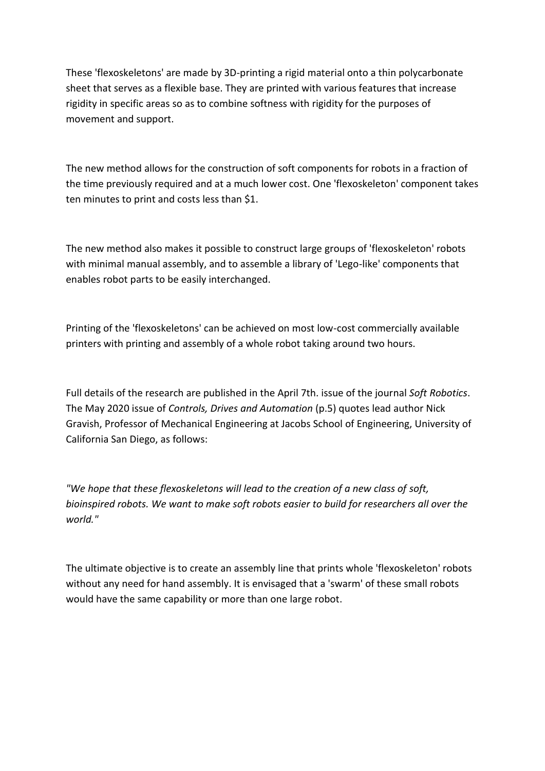These 'flexoskeletons' are made by 3D-printing a rigid material onto a thin polycarbonate sheet that serves as a flexible base. They are printed with various features that increase rigidity in specific areas so as to combine softness with rigidity for the purposes of movement and support.

The new method allows for the construction of soft components for robots in a fraction of the time previously required and at a much lower cost. One 'flexoskeleton' component takes ten minutes to print and costs less than \$1.

The new method also makes it possible to construct large groups of 'flexoskeleton' robots with minimal manual assembly, and to assemble a library of 'Lego-like' components that enables robot parts to be easily interchanged.

Printing of the 'flexoskeletons' can be achieved on most low-cost commercially available printers with printing and assembly of a whole robot taking around two hours.

Full details of the research are published in the April 7th. issue of the journal *Soft Robotics*. The May 2020 issue of *Controls, Drives and Automation* (p.5) quotes lead author Nick Gravish, Professor of Mechanical Engineering at Jacobs School of Engineering, University of California San Diego, as follows:

*"We hope that these flexoskeletons will lead to the creation of a new class of soft, bioinspired robots. We want to make soft robots easier to build for researchers all over the world."*

The ultimate objective is to create an assembly line that prints whole 'flexoskeleton' robots without any need for hand assembly. It is envisaged that a 'swarm' of these small robots would have the same capability or more than one large robot.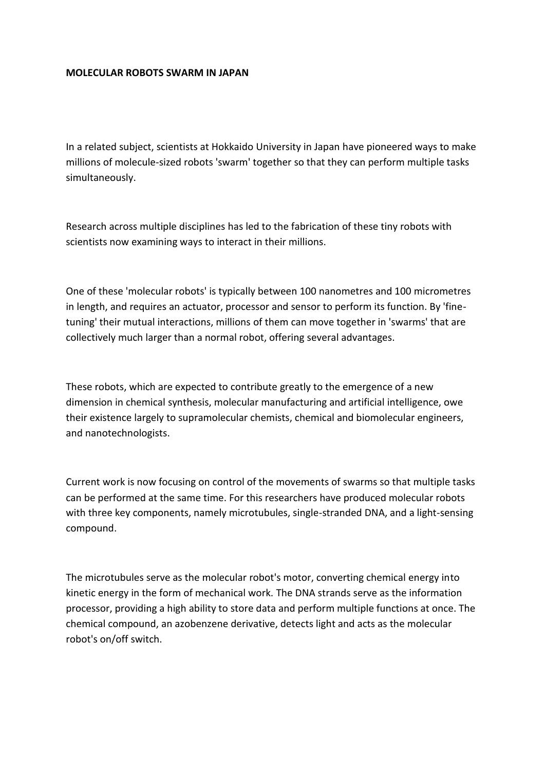### **MOLECULAR ROBOTS SWARM IN JAPAN**

In a related subject, scientists at Hokkaido University in Japan have pioneered ways to make millions of molecule-sized robots 'swarm' together so that they can perform multiple tasks simultaneously.

Research across multiple disciplines has led to the fabrication of these tiny robots with scientists now examining ways to interact in their millions.

One of these 'molecular robots' is typically between 100 nanometres and 100 micrometres in length, and requires an actuator, processor and sensor to perform its function. By 'finetuning' their mutual interactions, millions of them can move together in 'swarms' that are collectively much larger than a normal robot, offering several advantages.

These robots, which are expected to contribute greatly to the emergence of a new dimension in chemical synthesis, molecular manufacturing and artificial intelligence, owe their existence largely to supramolecular chemists, chemical and biomolecular engineers, and nanotechnologists.

Current work is now focusing on control of the movements of swarms so that multiple tasks can be performed at the same time. For this researchers have produced molecular robots with three key components, namely microtubules, single-stranded DNA, and a light-sensing compound.

The microtubules serve as the molecular robot's motor, converting chemical energy into kinetic energy in the form of mechanical work. The DNA strands serve as the information processor, providing a high ability to store data and perform multiple functions at once. The chemical compound, an azobenzene derivative, detects light and acts as the molecular robot's on/off switch.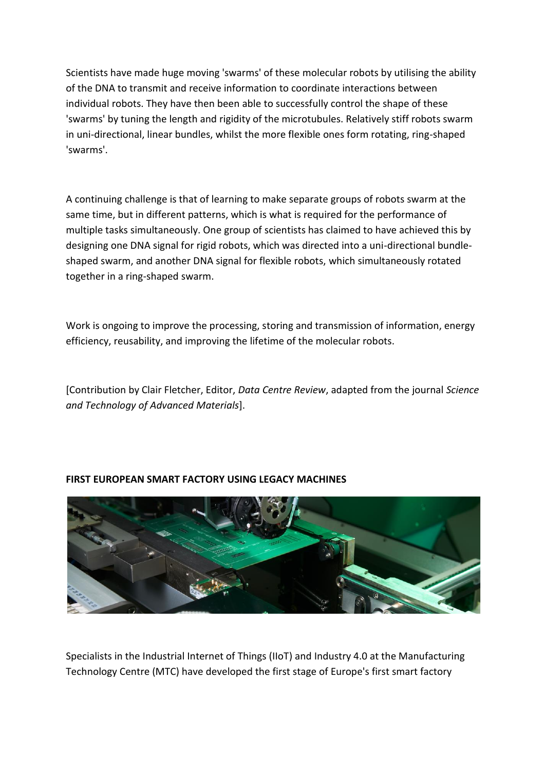Scientists have made huge moving 'swarms' of these molecular robots by utilising the ability of the DNA to transmit and receive information to coordinate interactions between individual robots. They have then been able to successfully control the shape of these 'swarms' by tuning the length and rigidity of the microtubules. Relatively stiff robots swarm in uni-directional, linear bundles, whilst the more flexible ones form rotating, ring-shaped 'swarms'.

A continuing challenge is that of learning to make separate groups of robots swarm at the same time, but in different patterns, which is what is required for the performance of multiple tasks simultaneously. One group of scientists has claimed to have achieved this by designing one DNA signal for rigid robots, which was directed into a uni-directional bundleshaped swarm, and another DNA signal for flexible robots, which simultaneously rotated together in a ring-shaped swarm.

Work is ongoing to improve the processing, storing and transmission of information, energy efficiency, reusability, and improving the lifetime of the molecular robots.

[Contribution by Clair Fletcher, Editor, *Data Centre Review*, adapted from the journal *Science and Technology of Advanced Materials*].



## **FIRST EUROPEAN SMART FACTORY USING LEGACY MACHINES**

Specialists in the Industrial Internet of Things (IIoT) and Industry 4.0 at the Manufacturing Technology Centre (MTC) have developed the first stage of Europe's first smart factory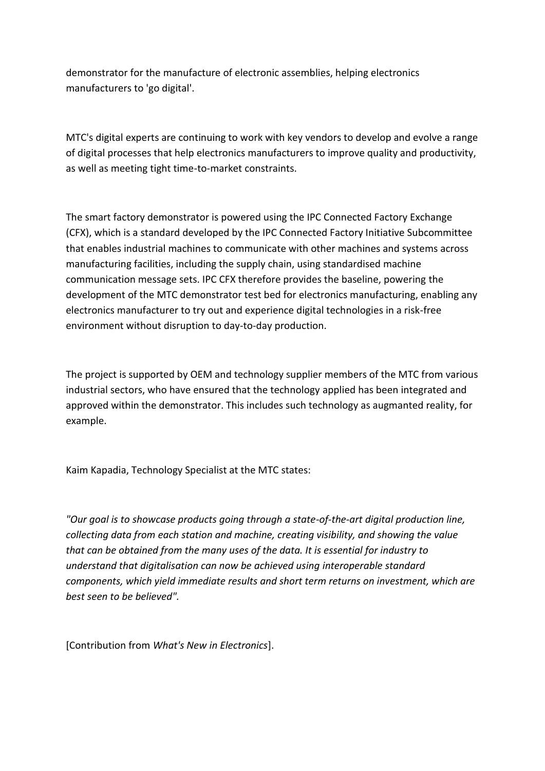demonstrator for the manufacture of electronic assemblies, helping electronics manufacturers to 'go digital'.

MTC's digital experts are continuing to work with key vendors to develop and evolve a range of digital processes that help electronics manufacturers to improve quality and productivity, as well as meeting tight time-to-market constraints.

The smart factory demonstrator is powered using the IPC Connected Factory Exchange (CFX), which is a standard developed by the IPC Connected Factory Initiative Subcommittee that enables industrial machines to communicate with other machines and systems across manufacturing facilities, including the supply chain, using standardised machine communication message sets. IPC CFX therefore provides the baseline, powering the development of the MTC demonstrator test bed for electronics manufacturing, enabling any electronics manufacturer to try out and experience digital technologies in a risk-free environment without disruption to day-to-day production.

The project is supported by OEM and technology supplier members of the MTC from various industrial sectors, who have ensured that the technology applied has been integrated and approved within the demonstrator. This includes such technology as augmanted reality, for example.

Kaim Kapadia, Technology Specialist at the MTC states:

*"Our goal is to showcase products going through a state-of-the-art digital production line, collecting data from each station and machine, creating visibility, and showing the value that can be obtained from the many uses of the data. It is essential for industry to understand that digitalisation can now be achieved using interoperable standard components, which yield immediate results and short term returns on investment, which are best seen to be believed".*

[Contribution from *What's New in Electronics*].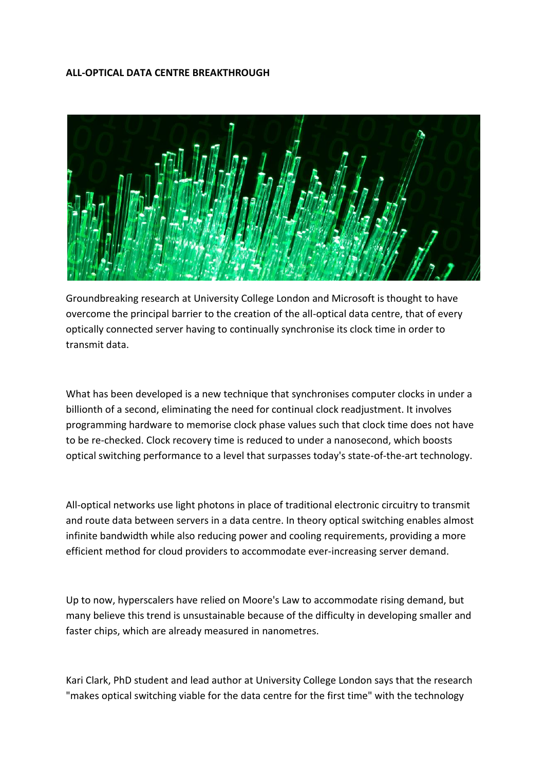### **ALL-OPTICAL DATA CENTRE BREAKTHROUGH**



Groundbreaking research at University College London and Microsoft is thought to have overcome the principal barrier to the creation of the all-optical data centre, that of every optically connected server having to continually synchronise its clock time in order to transmit data.

What has been developed is a new technique that synchronises computer clocks in under a billionth of a second, eliminating the need for continual clock readjustment. It involves programming hardware to memorise clock phase values such that clock time does not have to be re-checked. Clock recovery time is reduced to under a nanosecond, which boosts optical switching performance to a level that surpasses today's state-of-the-art technology.

All-optical networks use light photons in place of traditional electronic circuitry to transmit and route data between servers in a data centre. In theory optical switching enables almost infinite bandwidth while also reducing power and cooling requirements, providing a more efficient method for cloud providers to accommodate ever-increasing server demand.

Up to now, hyperscalers have relied on Moore's Law to accommodate rising demand, but many believe this trend is unsustainable because of the difficulty in developing smaller and faster chips, which are already measured in nanometres.

Kari Clark, PhD student and lead author at University College London says that the research "makes optical switching viable for the data centre for the first time" with the technology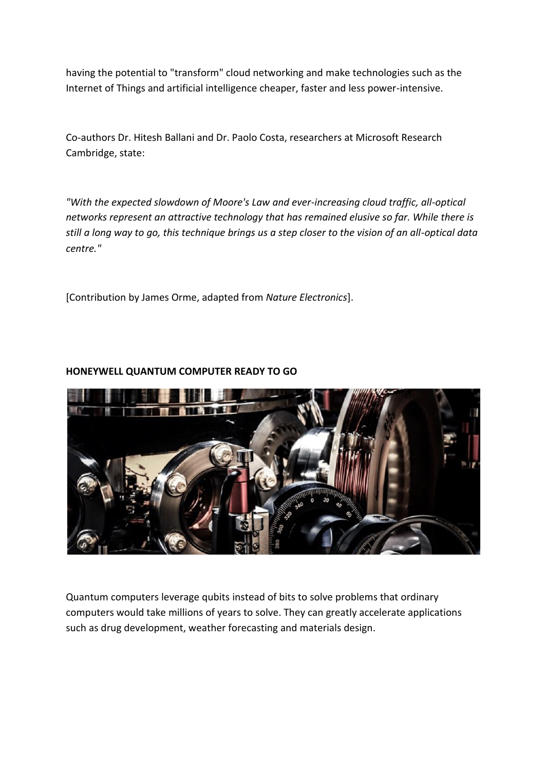having the potential to "transform" cloud networking and make technologies such as the Internet of Things and artificial intelligence cheaper, faster and less power-intensive.

Co-authors Dr. Hitesh Ballani and Dr. Paolo Costa, researchers at Microsoft Research Cambridge, state:

*"With the expected slowdown of Moore's Law and ever-increasing cloud traffic, all-optical networks represent an attractive technology that has remained elusive so far. While there is still a long way to go, this technique brings us a step closer to the vision of an all-optical data centre."*

[Contribution by James Orme, adapted from *Nature Electronics*].

# **HONEYWELL QUANTUM COMPUTER READY TO GO**



Quantum computers leverage qubits instead of bits to solve problems that ordinary computers would take millions of years to solve. They can greatly accelerate applications such as drug development, weather forecasting and materials design.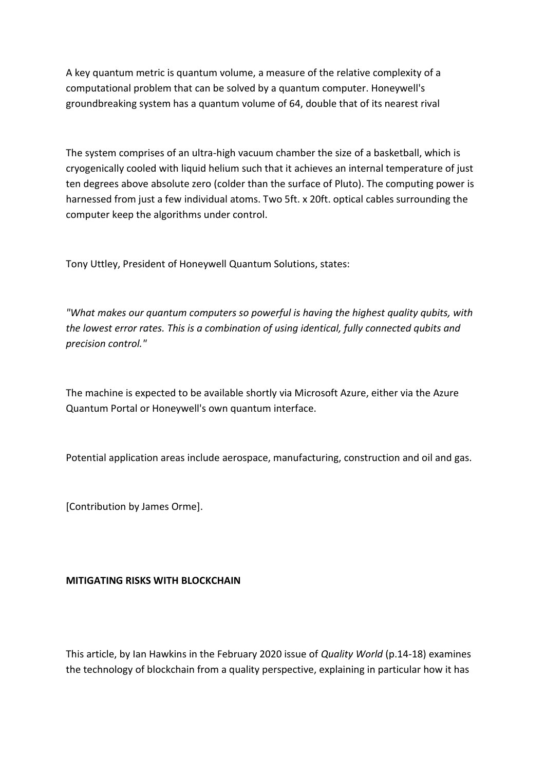A key quantum metric is quantum volume, a measure of the relative complexity of a computational problem that can be solved by a quantum computer. Honeywell's groundbreaking system has a quantum volume of 64, double that of its nearest rival

The system comprises of an ultra-high vacuum chamber the size of a basketball, which is cryogenically cooled with liquid helium such that it achieves an internal temperature of just ten degrees above absolute zero (colder than the surface of Pluto). The computing power is harnessed from just a few individual atoms. Two 5ft. x 20ft. optical cables surrounding the computer keep the algorithms under control.

Tony Uttley, President of Honeywell Quantum Solutions, states:

*"What makes our quantum computers so powerful is having the highest quality qubits, with the lowest error rates. This is a combination of using identical, fully connected qubits and precision control."*

The machine is expected to be available shortly via Microsoft Azure, either via the Azure Quantum Portal or Honeywell's own quantum interface.

Potential application areas include aerospace, manufacturing, construction and oil and gas.

[Contribution by James Orme].

### **MITIGATING RISKS WITH BLOCKCHAIN**

This article, by Ian Hawkins in the February 2020 issue of *Quality World* (p.14-18) examines the technology of blockchain from a quality perspective, explaining in particular how it has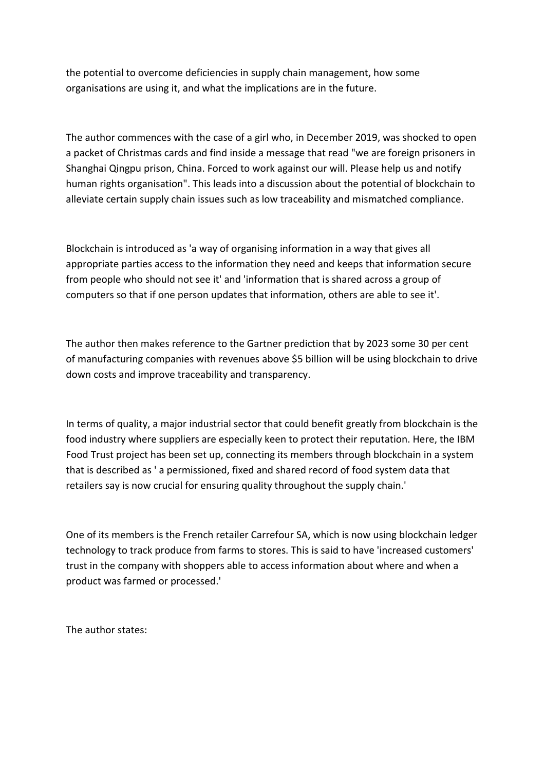the potential to overcome deficiencies in supply chain management, how some organisations are using it, and what the implications are in the future.

The author commences with the case of a girl who, in December 2019, was shocked to open a packet of Christmas cards and find inside a message that read "we are foreign prisoners in Shanghai Qingpu prison, China. Forced to work against our will. Please help us and notify human rights organisation". This leads into a discussion about the potential of blockchain to alleviate certain supply chain issues such as low traceability and mismatched compliance.

Blockchain is introduced as 'a way of organising information in a way that gives all appropriate parties access to the information they need and keeps that information secure from people who should not see it' and 'information that is shared across a group of computers so that if one person updates that information, others are able to see it'.

The author then makes reference to the Gartner prediction that by 2023 some 30 per cent of manufacturing companies with revenues above \$5 billion will be using blockchain to drive down costs and improve traceability and transparency.

In terms of quality, a major industrial sector that could benefit greatly from blockchain is the food industry where suppliers are especially keen to protect their reputation. Here, the IBM Food Trust project has been set up, connecting its members through blockchain in a system that is described as ' a permissioned, fixed and shared record of food system data that retailers say is now crucial for ensuring quality throughout the supply chain.'

One of its members is the French retailer Carrefour SA, which is now using blockchain ledger technology to track produce from farms to stores. This is said to have 'increased customers' trust in the company with shoppers able to access information about where and when a product was farmed or processed.'

The author states: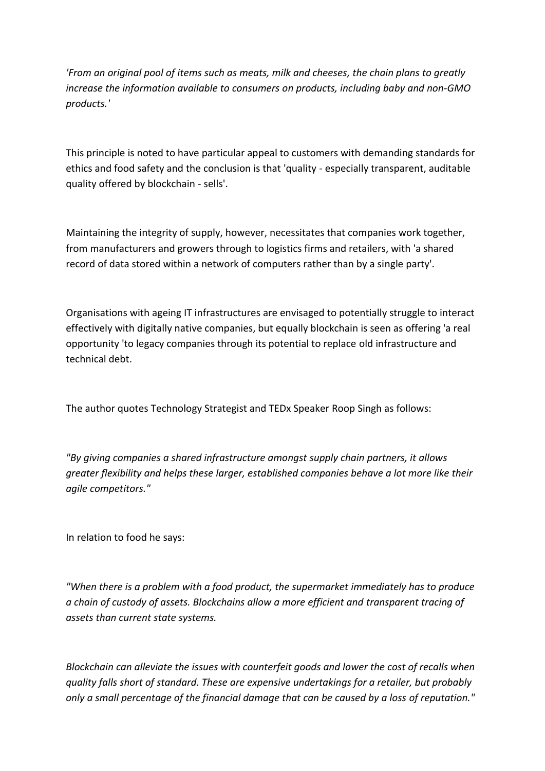*'From an original pool of items such as meats, milk and cheeses, the chain plans to greatly increase the information available to consumers on products, including baby and non-GMO products.'*

This principle is noted to have particular appeal to customers with demanding standards for ethics and food safety and the conclusion is that 'quality - especially transparent, auditable quality offered by blockchain - sells'.

Maintaining the integrity of supply, however, necessitates that companies work together, from manufacturers and growers through to logistics firms and retailers, with 'a shared record of data stored within a network of computers rather than by a single party'.

Organisations with ageing IT infrastructures are envisaged to potentially struggle to interact effectively with digitally native companies, but equally blockchain is seen as offering 'a real opportunity 'to legacy companies through its potential to replace old infrastructure and technical debt.

The author quotes Technology Strategist and TEDx Speaker Roop Singh as follows:

*"By giving companies a shared infrastructure amongst supply chain partners, it allows greater flexibility and helps these larger, established companies behave a lot more like their agile competitors."*

In relation to food he says:

*"When there is a problem with a food product, the supermarket immediately has to produce a chain of custody of assets. Blockchains allow a more efficient and transparent tracing of assets than current state systems.*

*Blockchain can alleviate the issues with counterfeit goods and lower the cost of recalls when quality falls short of standard. These are expensive undertakings for a retailer, but probably only a small percentage of the financial damage that can be caused by a loss of reputation."*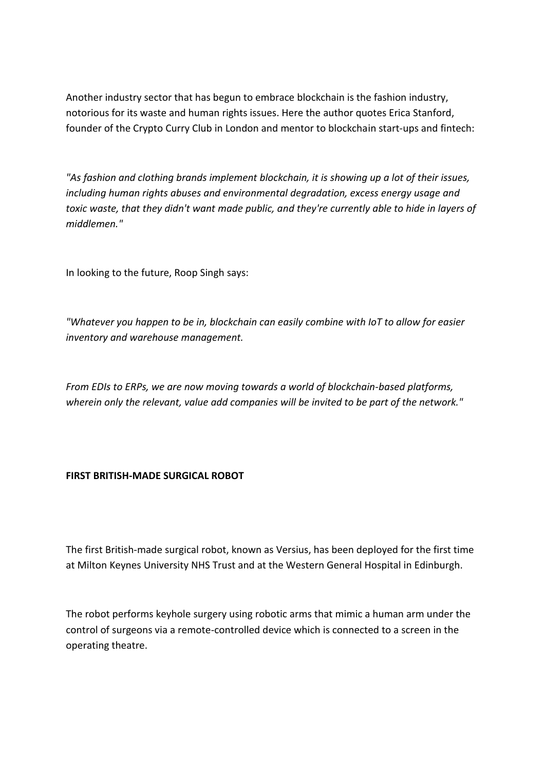Another industry sector that has begun to embrace blockchain is the fashion industry, notorious for its waste and human rights issues. Here the author quotes Erica Stanford, founder of the Crypto Curry Club in London and mentor to blockchain start-ups and fintech:

*"As fashion and clothing brands implement blockchain, it is showing up a lot of their issues, including human rights abuses and environmental degradation, excess energy usage and toxic waste, that they didn't want made public, and they're currently able to hide in layers of middlemen."*

In looking to the future, Roop Singh says:

*"Whatever you happen to be in, blockchain can easily combine with IoT to allow for easier inventory and warehouse management.*

*From EDIs to ERPs, we are now moving towards a world of blockchain-based platforms, wherein only the relevant, value add companies will be invited to be part of the network."*

### **FIRST BRITISH-MADE SURGICAL ROBOT**

The first British-made surgical robot, known as Versius, has been deployed for the first time at Milton Keynes University NHS Trust and at the Western General Hospital in Edinburgh.

The robot performs keyhole surgery using robotic arms that mimic a human arm under the control of surgeons via a remote-controlled device which is connected to a screen in the operating theatre.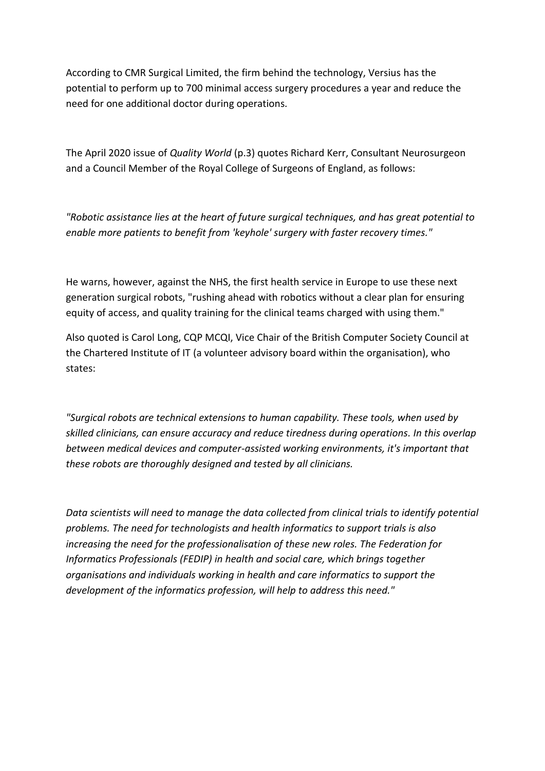According to CMR Surgical Limited, the firm behind the technology, Versius has the potential to perform up to 700 minimal access surgery procedures a year and reduce the need for one additional doctor during operations.

The April 2020 issue of *Quality World* (p.3) quotes Richard Kerr, Consultant Neurosurgeon and a Council Member of the Royal College of Surgeons of England, as follows:

*"Robotic assistance lies at the heart of future surgical techniques, and has great potential to enable more patients to benefit from 'keyhole' surgery with faster recovery times."*

He warns, however, against the NHS, the first health service in Europe to use these next generation surgical robots, "rushing ahead with robotics without a clear plan for ensuring equity of access, and quality training for the clinical teams charged with using them."

Also quoted is Carol Long, CQP MCQI, Vice Chair of the British Computer Society Council at the Chartered Institute of IT (a volunteer advisory board within the organisation), who states:

*"Surgical robots are technical extensions to human capability. These tools, when used by skilled clinicians, can ensure accuracy and reduce tiredness during operations. In this overlap between medical devices and computer-assisted working environments, it's important that these robots are thoroughly designed and tested by all clinicians.*

*Data scientists will need to manage the data collected from clinical trials to identify potential problems. The need for technologists and health informatics to support trials is also increasing the need for the professionalisation of these new roles. The Federation for Informatics Professionals (FEDIP) in health and social care, which brings together organisations and individuals working in health and care informatics to support the development of the informatics profession, will help to address this need."*